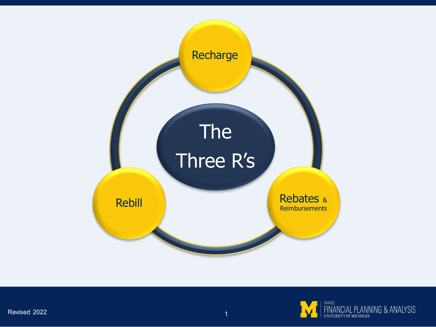

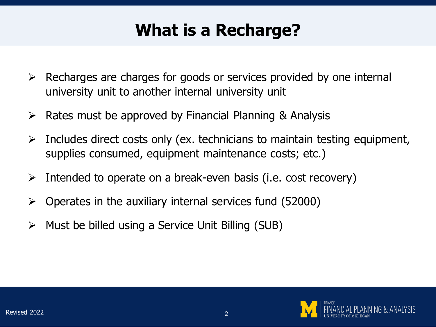### **What is a Recharge?**

- $\triangleright$  Recharges are charges for goods or services provided by one internal university unit to another internal university unit
- $\triangleright$  Rates must be approved by Financial Planning & Analysis
- $\triangleright$  Includes direct costs only (ex. technicians to maintain testing equipment, supplies consumed, equipment maintenance costs; etc.)
- $\triangleright$  Intended to operate on a break-even basis (i.e. cost recovery)
- $\triangleright$  Operates in the auxiliary internal services fund (52000)
- $\triangleright$  Must be billed using a Service Unit Billing (SUB)

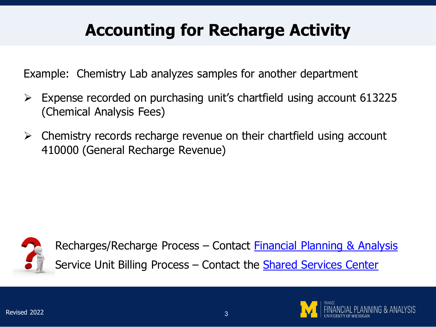# **Accounting for Recharge Activity**

Example: Chemistry Lab analyzes samples for another department

- $\triangleright$  Expense recorded on purchasing unit's chartfield using account 613225 (Chemical Analysis Fees)
- $\triangleright$  Chemistry records recharge revenue on their chartfield using account 410000 (General Recharge Revenue)



Recharges/Recharge Process – Contact [Financial Planning & Analysis](http://finance.umich.edu/analysis/recharge-rates) Service Unit Billing Process – Contact the [Shared Services Center](https://ssc.umich.edu/billing-collections/bill-another-u-m-unit/)



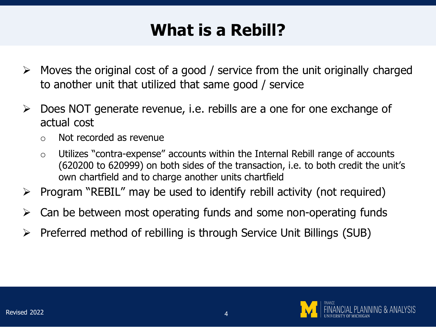### **What is a Rebill?**

- $\triangleright$  Moves the original cost of a good / service from the unit originally charged to another unit that utilized that same good / service
- $\triangleright$  Does NOT generate revenue, i.e. rebills are a one for one exchange of actual cost
	- o Not recorded as revenue
	- $\circ$  Utilizes "contra-expense" accounts within the Internal Rebill range of accounts (620200 to 620999) on both sides of the transaction, i.e. to both credit the unit's own chartfield and to charge another units chartfield
- $\triangleright$  Program "REBIL" may be used to identify rebill activity (not required)
- $\triangleright$  Can be between most operating funds and some non-operating funds
- $\triangleright$  Preferred method of rebilling is through Service Unit Billings (SUB)

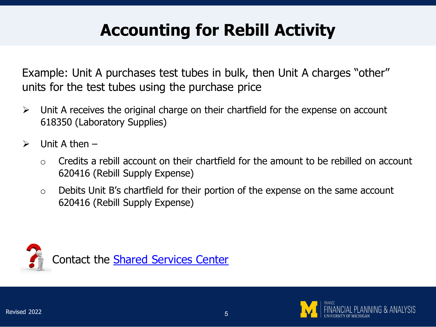# **Accounting for Rebill Activity**

Example: Unit A purchases test tubes in bulk, then Unit A charges "other" units for the test tubes using the purchase price

- $\triangleright$  Unit A receives the original charge on their chartfield for the expense on account 618350 (Laboratory Supplies)
- $\triangleright$  I Init A then
	- $\circ$  Credits a rebill account on their chartfield for the amount to be rebilled on account 620416 (Rebill Supply Expense)
	- $\circ$  Debits Unit B's chartfield for their portion of the expense on the same account 620416 (Rebill Supply Expense)



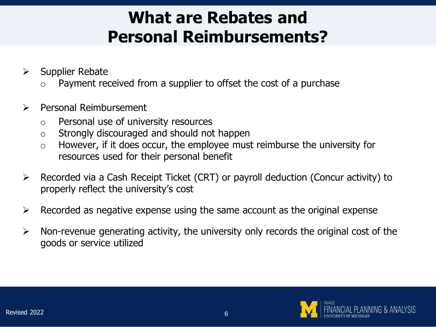### **What are Rebates and Personal Reimbursements?**

- $\triangleright$  Supplier Rebate
	- Payment received from a supplier to offset the cost of a purchase
- $\triangleright$  Personal Reimbursement
	- o Personal use of university resources
	- o Strongly discouraged and should not happen
	- $\circ$  However, if it does occur, the employee must reimburse the university for resources used for their personal benefit
- $\triangleright$  Recorded via a Cash Receipt Ticket (CRT) or payroll deduction (Concur activity) to properly reflect the university's cost
- $\triangleright$  Recorded as negative expense using the same account as the original expense
- $\triangleright$  Non-revenue generating activity, the university only records the original cost of the goods or service utilized

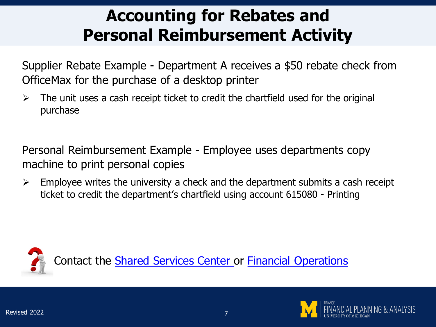### **Accounting for Rebates and Personal Reimbursement Activity**

Supplier Rebate Example - Department A receives a \$50 rebate check from OfficeMax for the purchase of a desktop printer

 $\triangleright$  The unit uses a cash receipt ticket to credit the chartfield used for the original purchase

Personal Reimbursement Example - Employee uses departments copy machine to print personal copies

 $\triangleright$  Employee writes the university a check and the department submits a cash receipt ticket to credit the department's chartfield using account 615080 - Printing



Contact the [Shared Services Center o](https://ssc.umich.edu/contact/)r [Financial Operations](http://finance.umich.edu/finops/accounting/contact)

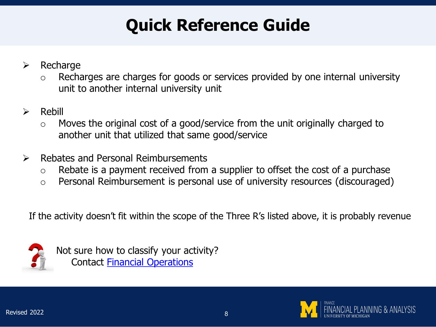# **Quick Reference Guide**

- $\triangleright$  Recharge
	- $\circ$  Recharges are charges for goods or services provided by one internal university unit to another internal university unit
- $\triangleright$  Rebill
	- $\circ$  Moves the original cost of a good/service from the unit originally charged to another unit that utilized that same good/service
- $\triangleright$  Rebates and Personal Reimbursements
	- $\circ$  Rebate is a payment received from a supplier to offset the cost of a purchase
	- o Personal Reimbursement is personal use of university resources (discouraged)

If the activity doesn't fit within the scope of the Three R's listed above, it is probably revenue



Not sure how to classify your activity? Contact [Financial Operations](http://finance.umich.edu/finops/accounting/contact)